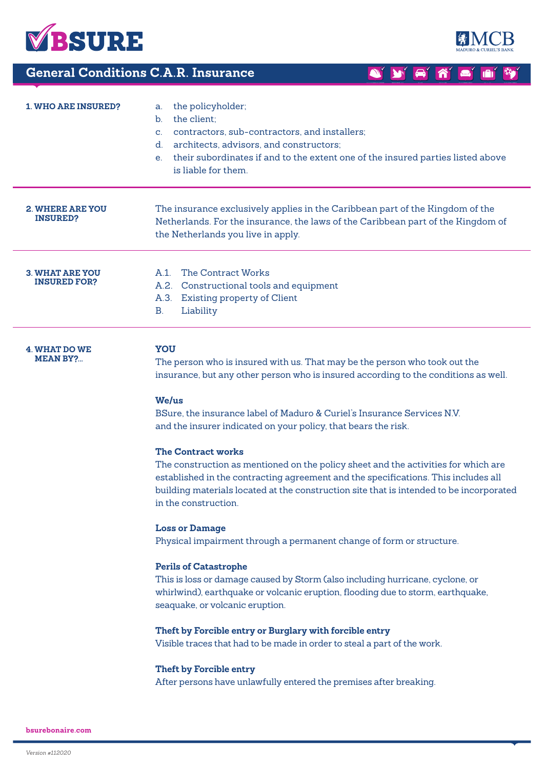



**INSURANCE LIABILITY**

**INSURANCE TRAVEL**

# **General Conditions C.A.R. Insurance**

**CAR INSURANCE HOME INSURANCE CONTENTS FUNC** 

**INSURANCE CONSTRUCTIE**

**INSURANCE CONSTRUCTIE**

| <b>1. WHO ARE INSURED?</b>                    | the policyholder;<br>a.<br>the client;<br>$\mathbf{b}$ .<br>contractors, sub-contractors, and installers;<br>$\mathbf{C}$ .<br>architects, advisors, and constructors;<br>$d_{\cdot}$<br>their subordinates if and to the extent one of the insured parties listed above<br>$e_{1}$<br>is liable for them.                     |
|-----------------------------------------------|--------------------------------------------------------------------------------------------------------------------------------------------------------------------------------------------------------------------------------------------------------------------------------------------------------------------------------|
| <b>2. WHERE ARE YOU</b><br><b>INSURED?</b>    | The insurance exclusively applies in the Caribbean part of the Kingdom of the<br>Netherlands. For the insurance, the laws of the Caribbean part of the Kingdom of<br>the Netherlands you live in apply.                                                                                                                        |
| <b>3. WHAT ARE YOU</b><br><b>INSURED FOR?</b> | The Contract Works<br>$A.1$ .<br>A.2. Constructional tools and equipment<br>A.3. Existing property of Client<br>B.<br>Liability                                                                                                                                                                                                |
| <b>4. WHAT DO WE</b><br><b>MEAN BY?</b>       | YOU<br>The person who is insured with us. That may be the person who took out the<br>insurance, but any other person who is insured according to the conditions as well.<br>We/us<br>BSure, the insurance label of Maduro & Curiel's Insurance Services N.V.<br>and the insurer indicated on your policy, that bears the risk. |
|                                               | The Contract works<br>The construction as mentioned on the policy sheet and the activities for which are<br>established in the contracting agreement and the specifications. This includes all<br>building materials located at the construction site that is intended to be incorporated<br>in the construction.              |
|                                               | <b>Loss or Damage</b><br>Physical impairment through a permanent change of form or structure.                                                                                                                                                                                                                                  |
|                                               | <b>Perils of Catastrophe</b><br>This is loss or damage caused by Storm (also including hurricane, cyclone, or<br>whirlwind), earthquake or volcanic eruption, flooding due to storm, earthquake,<br>seaquake, or volcanic eruption.                                                                                            |
|                                               | Theft by Forcible entry or Burglary with forcible entry<br>Visible traces that had to be made in order to steal a part of the work.                                                                                                                                                                                            |
|                                               | <b>Theft by Forcible entry</b><br>After persons have unlawfully entered the premises after breaking.                                                                                                                                                                                                                           |

**bsurebonaire.com**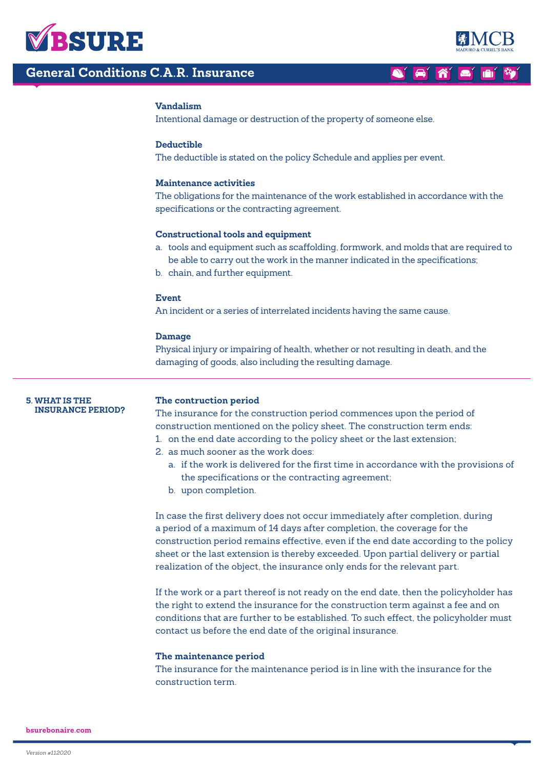

# **General Conditions C.A.R. Insurance**



**INSURANCE LIABILITY**

**INSURANCE TRAVEL**

# $\left| \mathbf{a} \right|$  a' **INSURANCE CONSTRUCTIE**

**CAR INSURANCE HOME INSURANCE CONTENTS**

# **Vandalism**

Intentional damage or destruction of the property of someone else.

# **Deductible**

The deductible is stated on the policy Schedule and applies per event.

#### **Maintenance activities**

The obligations for the maintenance of the work established in accordance with the specifications or the contracting agreement.

# **Constructional tools and equipment**

- a. tools and equipment such as scaffolding, formwork, and molds that are required to be able to carry out the work in the manner indicated in the specifications;
- b. chain, and further equipment.

#### **Event**

An incident or a series of interrelated incidents having the same cause.

## **Damage**

Physical injury or impairing of health, whether or not resulting in death, and the damaging of goods, also including the resulting damage.

#### **5. WHAT IS THE INSURANCE PERIOD?**

## **The contruction period**

The insurance for the construction period commences upon the period of construction mentioned on the policy sheet. The construction term ends:

- 1. on the end date according to the policy sheet or the last extension;
- 2. as much sooner as the work does:
	- a. if the work is delivered for the first time in accordance with the provisions of the specifications or the contracting agreement;
	- b. upon completion.

In case the first delivery does not occur immediately after completion, during a period of a maximum of 14 days after completion, the coverage for the construction period remains effective, even if the end date according to the policy sheet or the last extension is thereby exceeded. Upon partial delivery or partial realization of the object, the insurance only ends for the relevant part.

If the work or a part thereof is not ready on the end date, then the policyholder has the right to extend the insurance for the construction term against a fee and on conditions that are further to be established. To such effect, the policyholder must contact us before the end date of the original insurance.

#### **The maintenance period**

The insurance for the maintenance period is in line with the insurance for the construction term.

**bsurebonaire.com**